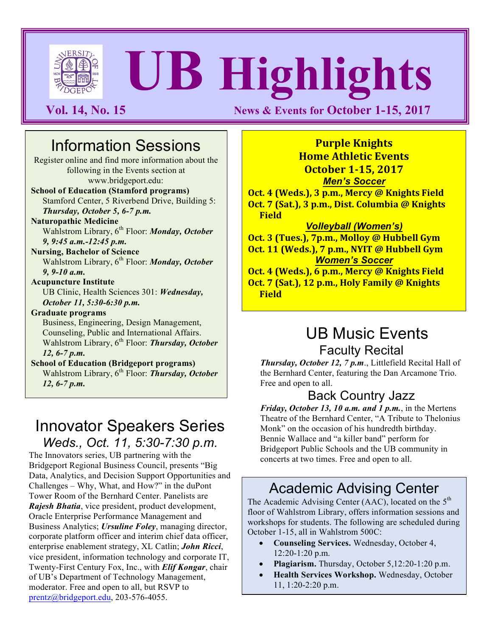

# **UB Highlights**

**Vol. 14, No. 15 News & Events for October 1-15, 2017** 

# Information Sessions

Register online and find more information about the following in the Events section at www.bridgeport.edu:

**School of Education (Stamford programs)**  Stamford Center, 5 Riverbend Drive, Building 5: *Thursday, October 5, 6-7 p.m.*

**Naturopathic Medicine**

Wahlstrom Library, 6<sup>th</sup> Floor: *Monday, October 9, 9:45 a.m.-12:45 p.m.*

**Nursing, Bachelor of Science** Wahlstrom Library, 6<sup>th</sup> Floor: *Monday, October 9, 9-10 a.m.*

#### **Acupuncture Institute** UB Clinic, Health Sciences 301: *Wednesday, October 11, 5:30-6:30 p.m.*

**Graduate programs**

Business, Engineering, Design Management, Counseling, Public and International Affairs. Wahlstrom Library, 6<sup>th</sup> Floor: *Thursday, October 12, 6-7 p.m.*

**School of Education (Bridgeport programs)** Wahlstrom Library, 6<sup>th</sup> Floor: *Thursday, October 12, 6-7 p.m.*

# Innovator Speakers Series *Weds., Oct. 11, 5:30-7:30 p.m.*

The Innovators series, UB partnering with the Bridgeport Regional Business Council, presents "Big Data, Analytics, and Decision Support Opportunities and Challenges – Why, What, and How?" in the duPont Tower Room of the Bernhard Center. Panelists are *Rajesh Bhatia*, vice president, product development, Oracle Enterprise Performance Management and Business Analytics; *Ursuline Foley*, managing director, corporate platform officer and interim chief data officer, enterprise enablement strategy, XL Catlin; *John Ricci*, vice president, information technology and corporate IT, Twenty-First Century Fox, Inc., with *Elif Kongar*, chair of UB's Department of Technology Management, moderator. Free and open to all, but RSVP to prentz@bridgeport.edu, 203-576-4055.

**Purple Knights Home Athletic Events October 1-15, 2017** *Men's Soccer*

**Oct. 4 (Weds.), 3 p.m., Mercy @ Knights Field Oct.** 7 (Sat.), 3 p.m., Dist. Columbia @ Knights **Field**

*Volleyball (Women's)*

**Oct. 3 (Tues.), 7p.m., Molloy @ Hubbell Gym Oct. 11 (Weds.), 7 p.m., NYIT @ Hubbell Gym** *Women's Soccer*

**Oct. 4 (Weds.), 6 p.m., Mercy @ Knights Field Oct.** 7 (Sat.), 12 p.m., Holy Family @ Knights **Field**

# UB Music Events Faculty Recital

*Thursday, October 12, 7 p.m*., Littlefield Recital Hall of the Bernhard Center, featuring the Dan Arcamone Trio. Free and open to all.

### Back Country Jazz

*Friday, October 13, 10 a.m. and 1 p.m.*, in the Mertens Theatre of the Bernhard Center, "A Tribute to Thelonius Monk" on the occasion of his hundredth birthday. Bennie Wallace and "a killer band" perform for Bridgeport Public Schools and the UB community in concerts at two times. Free and open to all.

# Academic Advising Center

The Academic Advising Center (AAC), located on the  $5<sup>th</sup>$ floor of Wahlstrom Library, offers information sessions and workshops for students. The following are scheduled during October 1-15, all in Wahlstrom 500C:

- **Counseling Services.** Wednesday, October 4, 12:20-1:20 p.m.
- **Plagiarism.** Thursday, October 5,12:20-1:20 p.m.
- **Health Services Workshop.** Wednesday, October 11, 1:20-2:20 p.m.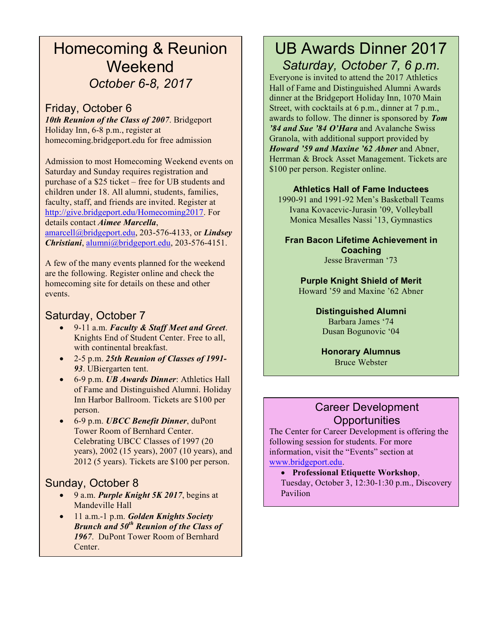# Homecoming & Reunion **Weekend** *October 6-8, 2017*

#### Friday, October 6

*10th Reunion of the Class of 2007*. Bridgeport Holiday Inn, 6-8 p.m., register at homecoming.bridgeport.edu for free admission

Admission to most Homecoming Weekend events on Saturday and Sunday requires registration and purchase of a \$25 ticket – free for UB students and children under 18. All alumni, students, families, faculty, staff, and friends are invited. Register at http://give.bridgeport.edu/Homecoming2017. For details contact *Aimee Marcella*, amarcell@bridgeport.edu, 203-576-4133, or *Lindsey Christiani*, alumni@bridgeport.edu, 203-576-4151.

A few of the many events planned for the weekend are the following. Register online and check the homecoming site for details on these and other events.

#### Saturday, October 7

- 9-11 a.m. *Faculty & Staff Meet and Greet*. Knights End of Student Center. Free to all, with continental breakfast.
- 2-5 p.m. *25th Reunion of Classes of 1991- 93*. UBiergarten tent.
- 6-9 p.m. *UB Awards Dinner*: Athletics Hall of Fame and Distinguished Alumni. Holiday Inn Harbor Ballroom. Tickets are \$100 per person.
- 6-9 p.m. *UBCC Benefit Dinner*, duPont Tower Room of Bernhard Center. Celebrating UBCC Classes of 1997 (20 years), 2002 (15 years), 2007 (10 years), and 2012 (5 years). Tickets are \$100 per person.

#### Sunday, October 8

- 9 a.m. *Purple Knight 5K 2017*, begins at Mandeville Hall
- 11 a.m.-1 p.m. *Golden Knights Society Brunch and 50th Reunion of the Class of 1967*. DuPont Tower Room of Bernhard Center.

## UB Awards Dinner 2017 *Saturday, October 7, 6 p.m.*

Everyone is invited to attend the 2017 Athletics Hall of Fame and Distinguished Alumni Awards dinner at the Bridgeport Holiday Inn, 1070 Main Street, with cocktails at 6 p.m., dinner at 7 p.m., awards to follow. The dinner is sponsored by *Tom '84 and Sue '84 O'Hara* and Avalanche Swiss Granola, with additional support provided by *Howard '59 and Maxine '62 Abner* and Abner, Herrman & Brock Asset Management. Tickets are \$100 per person. Register online.

#### **Athletics Hall of Fame Inductees**

1990-91 and 1991-92 Men's Basketball Teams Ivana Kovacevic-Jurasin '09, Volleyball Monica Mesalles Nassi '13, Gymnastics

#### **Fran Bacon Lifetime Achievement in Coaching** Jesse Braverman '73

**Purple Knight Shield of Merit** Howard '59 and Maxine '62 Abner

> **Distinguished Alumni** Barbara James '74 Dusan Bogunovic '04

**Honorary Alumnus** Bruce Webster

#### Career Development **Opportunities**

The Center for Career Development is offering the following session for students. For more information, visit the "Events" section at www.bridgeport.edu.

• **Professional Etiquette Workshop**, Tuesday, October 3, 12:30-1:30 p.m., Discovery Pavilion